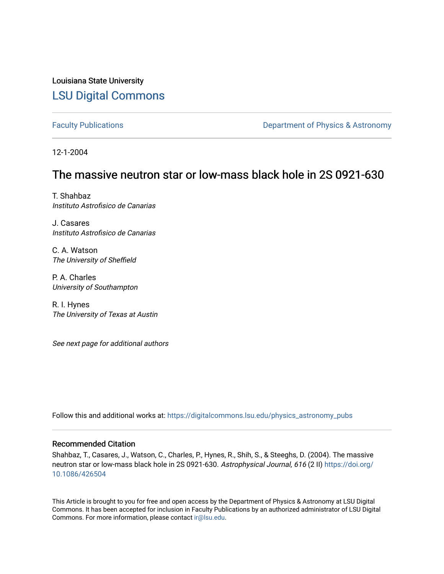Louisiana State University [LSU Digital Commons](https://digitalcommons.lsu.edu/)

[Faculty Publications](https://digitalcommons.lsu.edu/physics_astronomy_pubs) **Exercise 2 and Table 2 and Table 2 and Table 2 and Table 2 and Table 2 and Table 2 and Table 2 and Table 2 and Table 2 and Table 2 and Table 2 and Table 2 and Table 2 and Table 2 and Table 2 and Table** 

12-1-2004

## The massive neutron star or low-mass black hole in 2S 0921-630

T. Shahbaz Instituto Astrofisico de Canarias

J. Casares Instituto Astrofisico de Canarias

C. A. Watson The University of Sheffield

P. A. Charles University of Southampton

R. I. Hynes The University of Texas at Austin

See next page for additional authors

Follow this and additional works at: [https://digitalcommons.lsu.edu/physics\\_astronomy\\_pubs](https://digitalcommons.lsu.edu/physics_astronomy_pubs?utm_source=digitalcommons.lsu.edu%2Fphysics_astronomy_pubs%2F2630&utm_medium=PDF&utm_campaign=PDFCoverPages) 

### Recommended Citation

Shahbaz, T., Casares, J., Watson, C., Charles, P., Hynes, R., Shih, S., & Steeghs, D. (2004). The massive neutron star or low-mass black hole in 2S 0921-630. Astrophysical Journal, 616 (2 II) [https://doi.org/](https://doi.org/10.1086/426504) [10.1086/426504](https://doi.org/10.1086/426504)

This Article is brought to you for free and open access by the Department of Physics & Astronomy at LSU Digital Commons. It has been accepted for inclusion in Faculty Publications by an authorized administrator of LSU Digital Commons. For more information, please contact [ir@lsu.edu](mailto:ir@lsu.edu).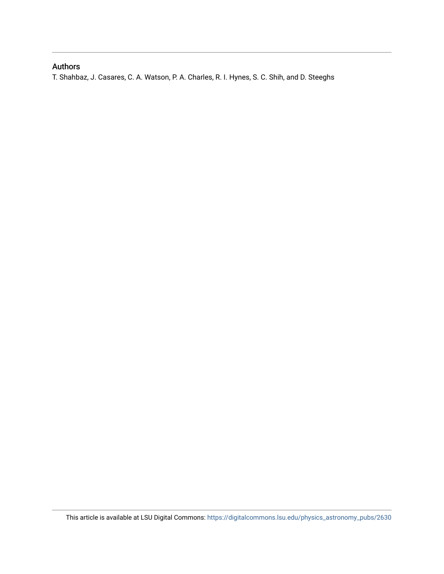### Authors

T. Shahbaz, J. Casares, C. A. Watson, P. A. Charles, R. I. Hynes, S. C. Shih, and D. Steeghs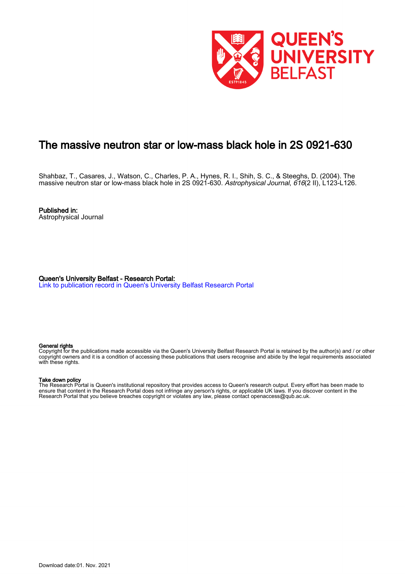

# The massive neutron star or low-mass black hole in 2S 0921-630

Shahbaz, T., Casares, J., Watson, C., Charles, P. A., Hynes, R. I., Shih, S. C., & Steeghs, D. (2004). The massive neutron star or low-mass black hole in 2S 0921-630. Astrophysical Journal, 616(2 II), L123-L126.

Published in: Astrophysical Journal

Queen's University Belfast - Research Portal: [Link to publication record in Queen's University Belfast Research Portal](https://pure.qub.ac.uk/en/publications/the-massive-neutron-star-or-lowmass-black-hole-in-2s-0921630(f08079b3-cb5b-442b-987a-995d312902c8).html)

#### General rights

Copyright for the publications made accessible via the Queen's University Belfast Research Portal is retained by the author(s) and / or other copyright owners and it is a condition of accessing these publications that users recognise and abide by the legal requirements associated with these rights.

#### Take down policy

The Research Portal is Queen's institutional repository that provides access to Queen's research output. Every effort has been made to ensure that content in the Research Portal does not infringe any person's rights, or applicable UK laws. If you discover content in the Research Portal that you believe breaches copyright or violates any law, please contact openaccess@qub.ac.uk.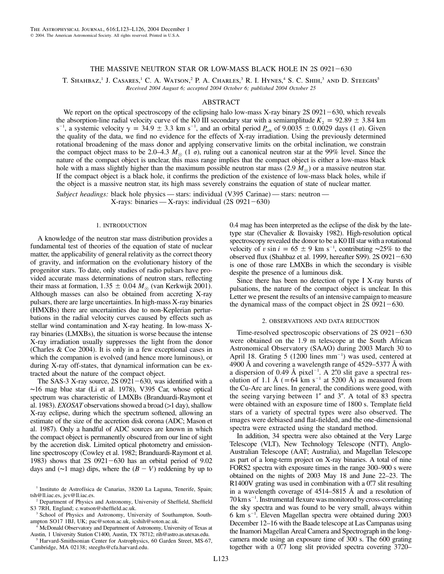#### THE MASSIVE NEUTRON STAR OR LOW-MASS BLACK HOLE IN 2S 0921-630

T. SHAHBAZ,<sup>1</sup> J. Casares,<sup>1</sup> C. A. Watson,<sup>2</sup> P. A. Charles,<sup>3</sup> R. I. Hynes,<sup>4</sup> S. C. Shih,<sup>3</sup> and D. Steeghs<sup>5</sup> *Received 2004 August 6; accepted 2004 October 6; published 2004 October 25*

#### ABSTRACT

We report on the optical spectroscopy of the eclipsing halo low-mass X-ray binary  $2S\,0921-630$ , which reveals the absorption-line radial velocity curve of the K0 III secondary star with a semiamplitude  $K_2 = 92.89 \pm 3.84$  km s<sup>-1</sup>, a systemic velocity  $\gamma = 34.9 \pm 3.3$  km s<sup>-1</sup>, and an orbital period  $P_{\text{orb}}$  of 9.0035  $\pm$  0.0029 days (1  $\sigma$ ). Given the quality of the data, we find no evidence for the effects of X-ray irradiation. Using the previously determined rotational broadening of the mass donor and applying conservative limits on the orbital inclination, we constrain the compact object mass to be 2.0–4.3  $M_{\odot}$  (1  $\sigma$ ), ruling out a canonical neutron star at the 99% level. Since the nature of the compact object is unclear, this mass range implies that the compact object is either a low-mass black hole with a mass slightly higher than the maximum possible neutron star mass  $(2.9 M_{\odot})$  or a massive neutron star. If the compact object is a black hole, it confirms the prediction of the existence of low-mass black holes, while if the object is a massive neutron star, its high mass severely constrains the equation of state of nuclear matter.

*Subject headings:* black hole physics — stars: individual (V395 Carinae) — stars: neutron —  $X-rays: binaries - X-rays: individual (2S 0921-630)$ 

#### 1. INTRODUCTION

A knowledge of the neutron star mass distribution provides a fundamental test of theories of the equation of state of nuclear matter, the applicability of general relativity as the correct theory of gravity, and information on the evolutionary history of the progenitor stars. To date, only studies of radio pulsars have provided accurate mass determinations of neutron stars, reflecting their mass at formation,  $1.35 \pm 0.04$   $M_{\odot}$  (van Kerkwijk 2001). Although masses can also be obtained from accreting X-ray pulsars, there are large uncertainties. In high-mass X-ray binaries (HMXBs) there are uncertainties due to non-Keplerian perturbations in the radial velocity curves caused by effects such as stellar wind contamination and X-ray heating. In low-mass Xray binaries (LMXBs), the situation is worse because the intense X-ray irradiation usually suppresses the light from the donor (Charles & Coe 2004). It is only in a few exceptional cases in which the companion is evolved (and hence more luminous), or during X-ray off-states, that dynamical information can be extracted about the nature of the compact object.

The SAS-3 X-ray source,  $2S$  0921-630, was identified with a ∼16 mag blue star (Li et al. 1978), V395 Car, whose optical spectrum was characteristic of LMXBs (Branduardi-Raymont et al. 1983). *EXOSAT* observations showed a broad  $(>1 \text{ day})$ , shallow X-ray eclipse, during which the spectrum softened, allowing an estimate of the size of the accretion disk corona (ADC; Mason et al. 1987). Only a handful of ADC sources are known in which the compact object is permanently obscured from our line of sight by the accretion disk. Limited optical photometry and emissionline spectroscopy (Cowley et al. 1982; Branduardi-Raymont et al. 1983) shows that  $2S \t0921-630$  has an orbital period of 9.02 days and ( $\sim$ 1 mag) dips, where the  $(B - V)$  reddening by up to 0.4 mag has been interpreted as the eclipse of the disk by the latetype star (Chevalier & Ilovaisky 1982). High-resolution optical spectroscopy revealed the donor to be a K0 III star with a rotational velocity of  $v \sin i = 65 \pm 9$  km s<sup>-1</sup>, contributing ∼25% to the observed flux (Shahbaz et al. 1999, hereafter S99).  $2S$  0921 $-630$ is one of those rare LMXBs in which the secondary is visible despite the presence of a luminous disk.

Since there has been no detection of type I X-ray bursts of pulsations, the nature of the compact object is unclear. In this Letter we present the results of an intensive campaign to measure the dynamical mass of the compact object in  $2S$  0921-630.

#### 2. OBSERVATIONS AND DATA REDUCTION

Time-resolved spectroscopic observations of  $2S$  0921-630 were obtained on the 1.9 m telescope at the South African Astronomical Observatory (SAAO) during 2003 March 30 to April 18. Grating  $5(1200$  lines  $mm^{-1}$ ) was used, centered at 4900 Å and covering a wavelength range of  $4529-5377$  Å with a dispersion of 0.49 Å pixel<sup>-1</sup>. A 2.0 slit gave a spectral resolution of 1.1 Å ( $=64$  km s<sup>-1</sup> at 5200 Å) as measured from the Cu-Arc arc lines. In general, the conditions were good, with the seeing varying between  $1''$  and  $3''$ . A total of 83 spectra were obtained with an exposure time of 1800 s. Template field stars of a variety of spectral types were also observed. The images were debiased and flat-fielded, and the one-dimensional spectra were extracted using the standard method.

In addition, 34 spectra were also obtained at the Very Large Telescope (VLT), New Technology Telescope (NTT), Anglo-Australian Telescope (AAT; Australia), and Magellan Telescope as part of a long-term project on X-ray binaries. A total of nine FORS2 spectra with exposure times in the range 300–900 s were obtained on the nights of 2003 May 18 and June 22–23. The  $R1400V$  grating was used in combination with a 0.7 slit resulting in a wavelength coverage of  $4514-5815$  Å and a resolution of 70 km s<sup>-1</sup>. Instrumental flexure was monitored by cross-correlating the sky spectra and was found to be very small, always within 6 km s<sup>-1</sup>. Eleven Magellan spectra were obtained during 2003 December 12–16 with the Baade telescope at Las Campanas using the Inamori Magellan Areal Camera and Spectrograph in the longcamera mode using an exposure time of 300 s. The 600 grating together with a 0.77 long slit provided spectra covering 3720–

<sup>&</sup>lt;sup>1</sup> Instituto de Astrofísica de Canarias, 38200 La Laguna, Tenerife, Spain; tsh@ll.iac.es, jcv@ll.iac.es.

<sup>2</sup> Department of Physics and Astronomy, University of Sheffield, Sheffield S3 7RH, England; c.watson@sheffield.ac.uk.

<sup>&</sup>lt;sup>3</sup> School of Physics and Astronomy, University of Southampton, Southampton SO17 1BJ, UK; pac@soton.ac.uk, icshih@soton.ac.uk.

<sup>&</sup>lt;sup>4</sup> McDonald Observatory and Department of Astronomy, University of Texas at Austin, 1 University Station C1400, Austin, TX 78712; rih@astro.as.utexas.edu.

<sup>5</sup> Harvard-Smithsonian Center for Astrophysics, 60 Garden Street, MS-67, Cambridge, MA 02138; steeghs@cfa.harvard.edu.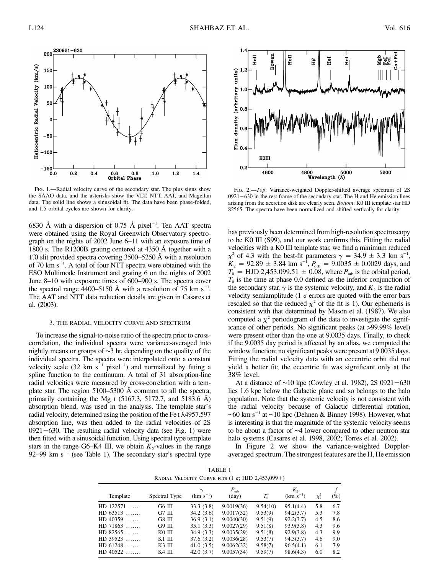

Fig. 1.—Radial velocity curve of the secondary star. The plus signs show the SAAO data, and the asterisks show the VLT, NTT, AAT, and Magellan data. The solid line shows a sinusoidal fit. The data have been phase-folded, and 1.5 orbital cycles are shown for clarity.

6830 Å with a dispersion of 0.75 Å pixel<sup>-1</sup>. Ten AAT spectra were obtained using the Royal Greenwich Observatory spectrograph on the nights of 2002 June 6–11 with an exposure time of 1800 s. The R1200B grating centered at 4350 Å together with a 1.<sup>7</sup> slit provided spectra covering  $3500 - 5250$  Å with a resolution of 70 km  $s^{-1}$ . A total of four NTT spectra were obtained with the ESO Multimode Instrument and grating 6 on the nights of 2002 June 8–10 with exposure times of 600–900 s. The spectra cover the spectral range 4400–5150 Å with a resolution of 75 km  $s^{-1}$ . The AAT and NTT data reduction details are given in Casares et al. (2003).

#### 3. THE RADIAL VELOCITY CURVE AND SPECTRUM

To increase the signal-to-noise ratio of the spectra prior to crosscorrelation, the individual spectra were variance-averaged into nightly means or groups of ∼3 hr, depending on the quality of the individual spectra. The spectra were interpolated onto a constant velocity scale (32 km  $s^{-1}$  pixel<sup>-1</sup>) and normalized by fitting a spline function to the continuum. A total of 31 absorption-line radial velocities were measured by cross-correlation with a template star. The region  $5100-5300$  Å common to all the spectra, primarily containing the Mg  $I$  (5167.3, 5172.7, and 5183.6 Å) absorption blend, was used in the analysis. The template star's radial velocity, determined using the position of the Fe I  $\lambda$ 4957.597 absorption line, was then added to the radial velocities of 2S  $0921-630$ . The resulting radial velocity data (see Fig. 1) were then fitted with a sinusoidal function. Using spectral type template stars in the range G6–K4 III, we obtain  $K_2$ -values in the range 92–99 km  $s^{-1}$  (see Table 1). The secondary star's spectral type



Fig. 2.—*Top*: Variance-weighted Doppler-shifted average spectrum of 2S  $0921-630$  in the rest frame of the secondary star. The H and He emission lines arising from the accretion disk are clearly seen. *Bottom*: K0 III template star HD 82565. The spectra have been normalized and shifted vertically for clarity.

has previously been determined from high-resolution spectroscopy to be K0 III (S99), and our work confirms this. Fitting the radial velocities with a K0 III template star, we find a minimum reduced  $\chi^2$  of 4.3 with the best-fit parameters  $\gamma = 34.9 \pm 3.3$  km s<sup>-1</sup>,  $K_2 = 92.89 \pm 3.84$  km s<sup>-1</sup>,  $P_{\text{orb}} = 9.0035 \pm 0.0029$  days, and  $T_0 =$  HJD 2,453,099.51  $\pm$  0.08, where  $P_{\text{orb}}$  is the orbital period,  $T_0$  is the time at phase 0.0 defined as the inferior conjunction of the secondary star,  $\gamma$  is the systemic velocity, and  $K_2$  is the radial velocity semiamplitude (1  $\sigma$  errors are quoted with the error bars rescaled so that the reduced  $\chi^2$  of the fit is 1). Our ephemeris is consistent with that determined by Mason et al. (1987). We also computed a  $\chi^2$  periodogram of the data to investigate the significance of other periods. No significant peaks (at >99.99% level) were present other than the one at 9.0035 days. Finally, to check if the 9.0035 day period is affected by an alias, we computed the window function; no significant peaks were present at 9.0035 days. Fitting the radial velocity data with an eccentric orbit did not yield a better fit; the eccentric fit was significant only at the 38% level.

At a distance of  $~10$  kpc (Cowley et al. 1982), 2S 0921 – 630 lies 1.6 kpc below the Galactic plane and so belongs to the halo population. Note that the systemic velocity is not consistent with the radial velocity because of Galactic differential rotation,  $~\sim$ 60 km s<sup>-1</sup> at  $~\sim$ 10 kpc (Dehnen & Binney 1998). However, what is interesting is that the magnitude of the systemic velocity seems to be about a factor of ∼4 lower compared to other neutron star halo systems (Casares et al. 1998, 2002; Torres et al. 2002).

In Figure 2 we show the variance-weighted Doppleraveraged spectrum. The strongest features are the H, He emission

TABLE 1 RADIAL VELOCITY CURVE FITS  $(1 \sigma; HJD 2,453,099+)$ 

| Template    | Spectral Type | $\gamma$<br>$(km s^{-1})$ | $P_{\rm orb}$<br>$\text{(day)}$ | $T^*_{0}$ | K,<br>$(km s^{-1})$ | $\chi^2_{\nu}$ | $(\%)$ |
|-------------|---------------|---------------------------|---------------------------------|-----------|---------------------|----------------|--------|
| $HD$ 122571 | G6 III        | 33.3(3.8)                 | 9.0019(36)                      | 9.54(10)  | 95.1(4.4)           | 5.8            | 6.7    |
| $HD 63513$  | G7 III        | 34.2(3.6)                 | 9.0017(32)                      | 9.53(9)   | 94.2(3.7)           | 5.3            | 7.8    |
| $HD$ 40359  | G8 III        | 36.9(3.1)                 | 9.0040(30)                      | 9.51(9)   | 92.2(3.7)           | 4.5            | 8.6    |
| $HD71863$   | G9 III        | 35.1(3.3)                 | 9.0027(29)                      | 9.51(8)   | 93.9(3.8)           | 4.3            | 9.6    |
| $HD$ 82565  | K0 III        | 34.9(3.3)                 | 9.0035(29)                      | 9.51(8)   | 92.9(3.8)           | 4.3            | 9.9    |
| $HD$ 39523  | $K1$ III      | 37.6(3.2)                 | 9.0036(28)                      | 9.53(7)   | 94.3(3.7)           | 4.6            | 9.0    |
| $HD 61248$  | K3 III        | 41.0(3.5)                 | 9.0062(32)                      | 9.58(7)   | 96.5(4.1)           | 6.1            | 7.9    |
| $HD 40522$  | K4 III        | 42.0(3.7)                 | 9.0057(34)                      | 9.59(7)   | 98.6(4.3)           | 6.0            | 8.2    |
|             |               |                           |                                 |           |                     |                |        |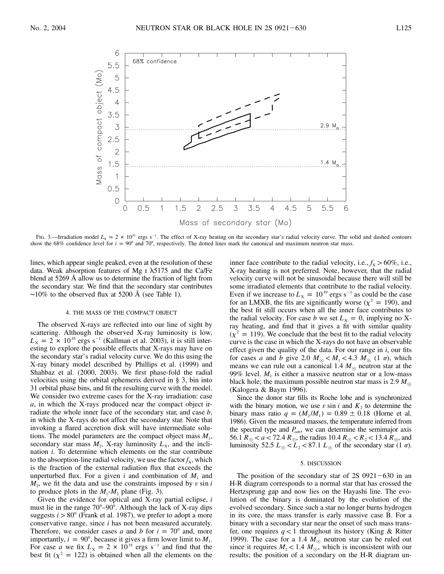

Fig. 3.—Irradiation model  $L_x = 2 \times 10^{35}$  ergs s<sup>-1</sup>. The effect of X-ray heating on the secondary star's radial velocity curve. The solid and dashed contours show the 68% confidence level for  $i = 90^{\circ}$  and 70°, respectively. The dotted lines mark the canonical and maximum neutron star mass.

lines, which appear single peaked, even at the resolution of these data. Weak absorption features of Mg  $\overline{1}$   $\lambda$ 5175 and the Ca/Fe blend at  $5269$  Å allow us to determine the fraction of light from the secondary star. We find that the secondary star contributes  $~\sim$ 10% to the observed flux at 5200 Å (see Table 1).

#### 4. THE MASS OF THE COMPACT OBJECT

The observed X-rays are reflected into our line of sight by scattering. Although the observed X-ray luminosity is low,  $L_x = 2 \times 10^{35}$  ergs s<sup>-1</sup> (Kallman et al. 2003), it is still interesting to explore the possible effects that X-rays may have on the secondary star's radial velocity curve. We do this using the X-ray binary model described by Phillips et al. (1999) and Shahbaz et al. (2000, 2003). We first phase-fold the radial velocities using the orbital ephemeris derived in § 3, bin into 31 orbital phase bins, and fit the resulting curve with the model. We consider two extreme cases for the X-ray irradiation: case *a*, in which the X-rays produced near the compact object irradiate the whole inner face of the secondary star, and case *b*, in which the X-rays do not affect the secondary star. Note that invoking a flared accretion disk will have intermediate solutions. The model parameters are the compact object mass  $M_1$ , secondary star mass  $M_2$ , X-ray luminosity  $L_x$ , and the inclination *i*. To determine which elements on the star contribute to the absorption-line radial velocity, we use the factor  $f<sub>x</sub>$ , which is the fraction of the external radiation flux that exceeds the unperturbed flux. For a given *i* and combination of  $M_1$  and  $M<sub>2</sub>$ , we fit the data and use the constraints imposed by *v* sin *i* to produce plots in the  $M_1$ - $M_2$  plane (Fig. 3).

Given the evidence for optical and X-ray partial eclipse, *i* must lie in the range  $70^{\circ} - 90^{\circ}$ . Although the lack of X-ray dips suggests  $i > 80^\circ$  (Frank et al. 1987), we prefer to adopt a more conservative range, since *i* has not been measured accurately. Therefore, we consider cases *a* and *b* for  $i = 70^{\circ}$  and, more importantly,  $i = 90^{\circ}$ , because it gives a firm lower limit to  $M<sub>1</sub>$ . For case *a* we fix  $L_x = 2 \times 10^{35}$  ergs s<sup>-1</sup> and find that the best fit ( $\chi^2 = 122$ ) is obtained when all the elements on the

inner face contribute to the radial velocity, i.e.,  $f_X > 60\%$ , i.e., X-ray heating is not preferred. Note, however, that the radial velocity curve will not be sinusoidal because there will still be some irradiated elements that contribute to the radial velocity. Even if we increase to  $L_x = 10^{39}$  ergs s<sup>-1</sup> as could be the case for an LMXB, the fits are significantly worse ( $\chi^2 = 190$ ), and the best fit still occurs when all the inner face contributes to the radial velocity. For case *b* we set  $L_x = 0$ , implying no Xray heating, and find that it gives a fit with similar quality  $(\chi^2 = 119)$ . We conclude that the best fit to the radial velocity curve is the case in which the X-rays do not have an observable effect given the quality of the data. For our range in *i*, our fits for cases *a* and *b* give 2.0  $M_{\odot}$   $\lt M_1$   $\lt 4.3$   $M_{\odot}$  (1  $\sigma$ ), which means we can rule out a canonical 1.4  $M_{\odot}$  neutron star at the 99% level.  $M_1$  is either a massive neutron star or a low-mass black hole; the maximum possible neutron star mass is 2.9  $M_{\odot}$ (Kalogera & Baym 1996).

Since the donor star fills its Roche lobe and is synchronized with the binary motion, we use  $v \sin i$  and  $K_2$  to determine the binary mass ratio  $q = (M_2 / M_1) = 0.89 \pm 0.18$  (Horne et al. 1986). Given the measured masses, the temperature inferred from the spectral type and  $P_{\text{orb}}$ , we can determine the semimajor axis 56.1  $R_{\odot} < a < 72.4 R_{\odot}$ , the radius 10.4  $R_{\odot} < R_2 < 13.4 R_{\odot}$ , and luminosity 52.5  $L_{\odot}$  <  $L_2$  < 87.1  $L_{\odot}$  of the secondary star (1  $\sigma$ ).

#### 5. DISCUSSION

The position of the secondary star of  $2S$  0921-630 in an H-R diagram corresponds to a normal star that has crossed the Hertzsprung gap and now lies on the Hayashi line. The evolution of the binary is dominated by the evolution of the evolved secondary. Since such a star no longer burns hydrogen in its core, the mass transfer is early massive case B. For a binary with a secondary star near the onset of such mass transfer, one requires  $q < 1$  throughout its history (King & Ritter 1999). The case for a 1.4  $M_{\odot}$  neutron star can be ruled out since it requires  $M_2 < 1.4$   $M_{\odot}$ , which is inconsistent with our results; the position of a secondary on the H-R diagram un-